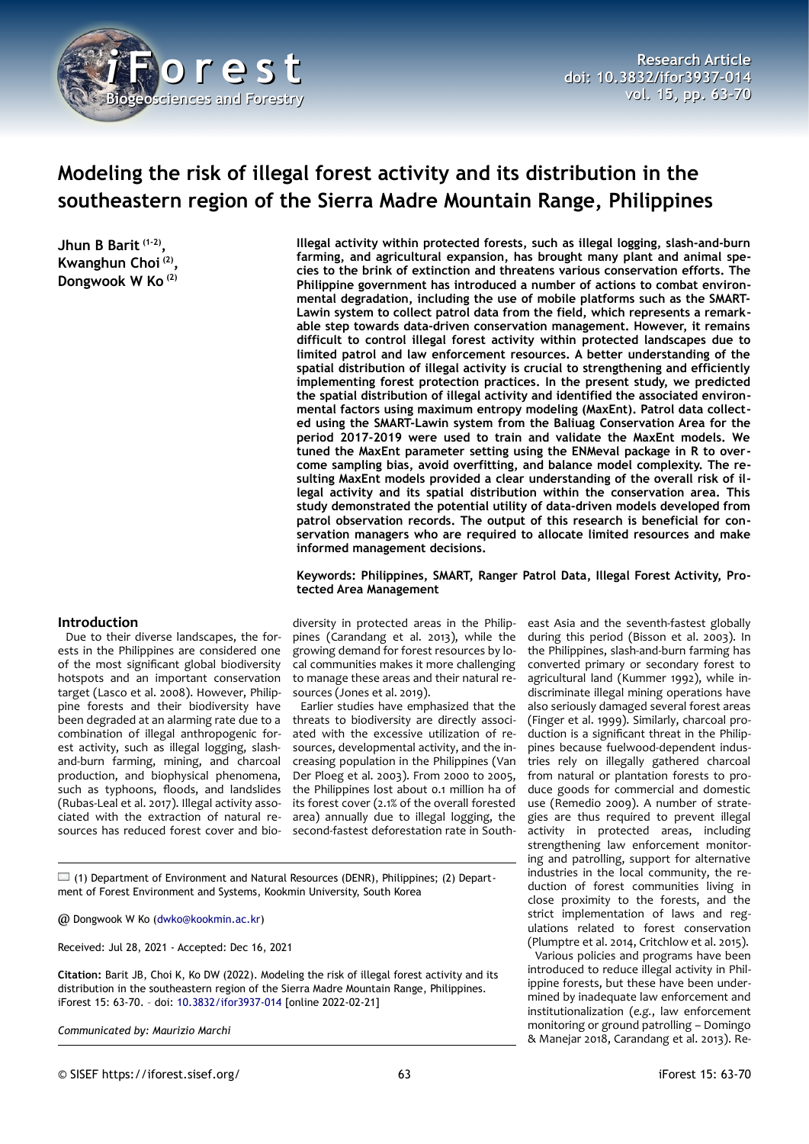

# **Modeling the risk of illegal forest activity and its distribution in the southeastern region of the Sierra Madre Mountain Range, Philippines**

**Jhun B Barit (1-2) , Kwanghun Choi (2) , Dongwook W Ko (2)**

**Illegal activity within protected forests, such as illegal logging, slash-and-burn farming, and agricultural expansion, has brought many plant and animal species to the brink of extinction and threatens various conservation efforts. The Philippine government has introduced a number of actions to combat environmental degradation, including the use of mobile platforms such as the SMART-Lawin system to collect patrol data from the field, which represents a remarkable step towards data-driven conservation management. However, it remains difficult to control illegal forest activity within protected landscapes due to limited patrol and law enforcement resources. A better understanding of the spatial distribution of illegal activity is crucial to strengthening and efficiently implementing forest protection practices. In the present study, we predicted the spatial distribution of illegal activity and identified the associated environmental factors using maximum entropy modeling (MaxEnt). Patrol data collected using the SMART-Lawin system from the Baliuag Conservation Area for the period 2017-2019 were used to train and validate the MaxEnt models. We tuned the MaxEnt parameter setting using the ENMeval package in R to overcome sampling bias, avoid overfitting, and balance model complexity. The resulting MaxEnt models provided a clear understanding of the overall risk of illegal activity and its spatial distribution within the conservation area. This study demonstrated the potential utility of data-driven models developed from patrol observation records. The output of this research is beneficial for conservation managers who are required to allocate limited resources and make informed management decisions.**

#### **Keywords: Philippines, SMART, Ranger Patrol Data, Illegal Forest Activity, Protected Area Management**

## **Introduction**

Due to their diverse landscapes, the forests in the Philippines are considered one of the most significant global biodiversity hotspots and an important conservation target (Lasco et al. 2008). However, Philippine forests and their biodiversity have been degraded at an alarming rate due to a combination of illegal anthropogenic forest activity, such as illegal logging, slashand-burn farming, mining, and charcoal production, and biophysical phenomena, such as typhoons, floods, and landslides (Rubas-Leal et al. 2017). Illegal activity associated with the extraction of natural resources has reduced forest cover and bio-

diversity in protected areas in the Philippines (Carandang et al. 2013), while the growing demand for forest resources by local communities makes it more challenging to manage these areas and their natural resources (Jones et al. 2019).

Earlier studies have emphasized that the threats to biodiversity are directly associated with the excessive utilization of resources, developmental activity, and the increasing population in the Philippines (Van Der Ploeg et al. 2003). From 2000 to 2005, the Philippines lost about 0.1 million ha of its forest cover (2.1% of the overall forested area) annually due to illegal logging, the second-fastest deforestation rate in South-

 $\square$  (1) Department of Environment and Natural Resources (DENR), Philippines; (2) Department of Forest Environment and Systems, Kookmin University, South Korea

@ Dongwook W Ko ([dwko@kookmin.ac.kr\)](mailto:dwko@kookmin.ac.kr)

Received: Jul 28, 2021 - Accepted: Dec 16, 2021

**Citation:** Barit JB, Choi K, Ko DW (2022). Modeling the risk of illegal forest activity and its distribution in the southeastern region of the Sierra Madre Mountain Range, Philippines. iForest 15: 63-70. – doi: [10.3832/ifor3937-014](http://www.sisef.it/iforest/contents/?id=ifor3937-014) [online 2022-02-21]

*Communicated by: Maurizio Marchi*

east Asia and the seventh-fastest globally during this period (Bisson et al. 2003). In the Philippines, slash-and-burn farming has converted primary or secondary forest to agricultural land (Kummer 1992), while indiscriminate illegal mining operations have also seriously damaged several forest areas (Finger et al. 1999). Similarly, charcoal production is a significant threat in the Philippines because fuelwood-dependent industries rely on illegally gathered charcoal from natural or plantation forests to produce goods for commercial and domestic use (Remedio 2009). A number of strategies are thus required to prevent illegal activity in protected areas, including strengthening law enforcement monitoring and patrolling, support for alternative industries in the local community, the reduction of forest communities living in close proximity to the forests, and the strict implementation of laws and regulations related to forest conservation (Plumptre et al. 2014, Critchlow et al. 2015).

Various policies and programs have been introduced to reduce illegal activity in Philippine forests, but these have been undermined by inadequate law enforcement and institutionalization (*e.g.*, law enforcement monitoring or ground patrolling – Domingo & Manejar 2018, Carandang et al. 2013). Re-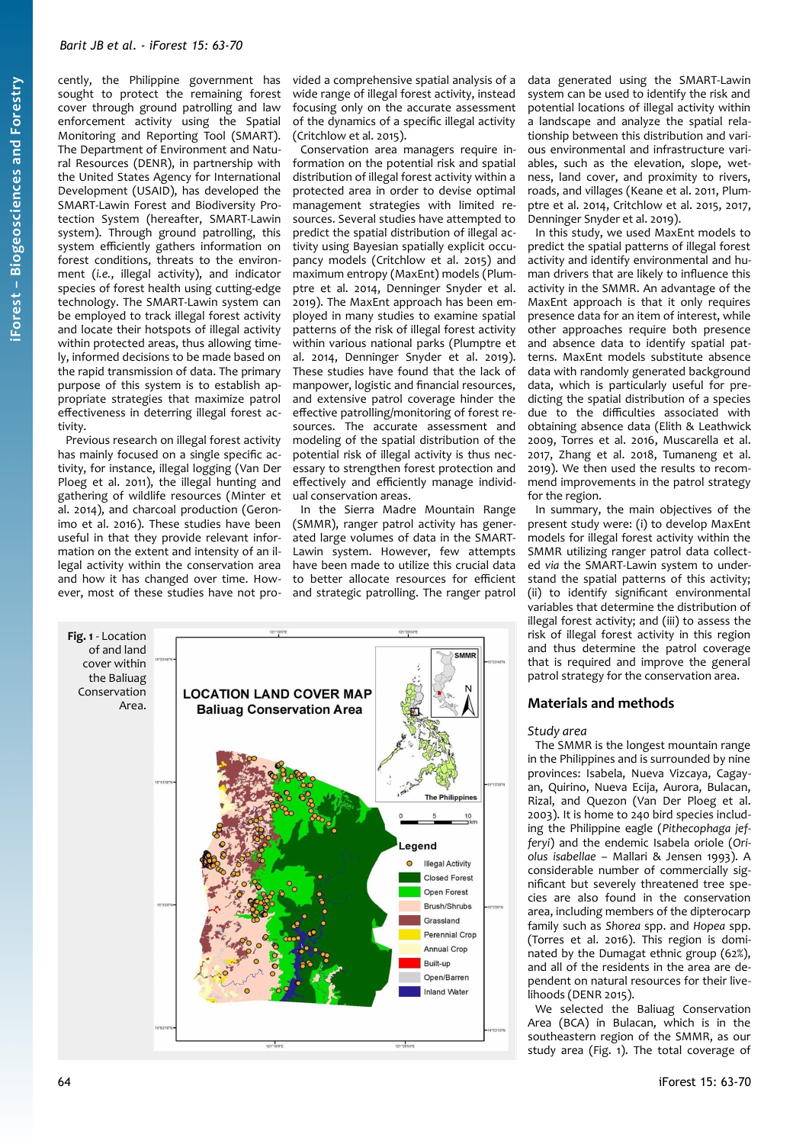cently, the Philippine government has sought to protect the remaining forest cover through ground patrolling and law enforcement activity using the Spatial Monitoring and Reporting Tool (SMART). The Department of Environment and Natural Resources (DENR), in partnership with the United States Agency for International Development (USAID), has developed the SMART-Lawin Forest and Biodiversity Protection System (hereafter, SMART-Lawin system). Through ground patrolling, this system efficiently gathers information on forest conditions, threats to the environment (*i.e.*, illegal activity), and indicator species of forest health using cutting-edge technology. The SMART-Lawin system can be employed to track illegal forest activity and locate their hotspots of illegal activity within protected areas, thus allowing timely, informed decisions to be made based on the rapid transmission of data. The primary purpose of this system is to establish appropriate strategies that maximize patrol effectiveness in deterring illegal forest activity.

Previous research on illegal forest activity has mainly focused on a single specific activity, for instance, illegal logging (Van Der Ploeg et al. 2011), the illegal hunting and gathering of wildlife resources (Minter et al. 2014), and charcoal production (Geronimo et al. 2016). These studies have been useful in that they provide relevant information on the extent and intensity of an illegal activity within the conservation area and how it has changed over time. However, most of these studies have not pro-

vided a comprehensive spatial analysis of a wide range of illegal forest activity, instead focusing only on the accurate assessment of the dynamics of a specific illegal activity (Critchlow et al. 2015).

Conservation area managers require information on the potential risk and spatial distribution of illegal forest activity within a protected area in order to devise optimal management strategies with limited resources. Several studies have attempted to predict the spatial distribution of illegal activity using Bayesian spatially explicit occupancy models (Critchlow et al. 2015) and maximum entropy (MaxEnt) models (Plumptre et al. 2014, Denninger Snyder et al. 2019). The MaxEnt approach has been employed in many studies to examine spatial patterns of the risk of illegal forest activity within various national parks (Plumptre et al. 2014, Denninger Snyder et al. 2019). These studies have found that the lack of manpower, logistic and financial resources, and extensive patrol coverage hinder the effective patrolling/monitoring of forest resources. The accurate assessment and modeling of the spatial distribution of the potential risk of illegal activity is thus necessary to strengthen forest protection and effectively and efficiently manage individual conservation areas.

In the Sierra Madre Mountain Range (SMMR), ranger patrol activity has generated large volumes of data in the SMART-Lawin system. However, few attempts have been made to utilize this crucial data to better allocate resources for efficient and strategic patrolling. The ranger patrol

<span id="page-1-0"></span>

data generated using the SMART-Lawin system can be used to identify the risk and potential locations of illegal activity within a landscape and analyze the spatial relationship between this distribution and various environmental and infrastructure variables, such as the elevation, slope, wetness, land cover, and proximity to rivers, roads, and villages (Keane et al. 2011, Plumptre et al. 2014, Critchlow et al. 2015, 2017, Denninger Snyder et al. 2019).

In this study, we used MaxEnt models to predict the spatial patterns of illegal forest activity and identify environmental and human drivers that are likely to influence this activity in the SMMR. An advantage of the MaxEnt approach is that it only requires presence data for an item of interest, while other approaches require both presence and absence data to identify spatial patterns. MaxEnt models substitute absence data with randomly generated background data, which is particularly useful for predicting the spatial distribution of a species due to the difficulties associated with obtaining absence data (Elith & Leathwick 2009, Torres et al. 2016, Muscarella et al. 2017, Zhang et al. 2018, Tumaneng et al. 2019). We then used the results to recommend improvements in the patrol strategy for the region.

In summary, the main objectives of the present study were: (i) to develop MaxEnt models for illegal forest activity within the SMMR utilizing ranger patrol data collected *via* the SMART-Lawin system to understand the spatial patterns of this activity; (ii) to identify significant environmental variables that determine the distribution of illegal forest activity; and (iii) to assess the risk of illegal forest activity in this region and thus determine the patrol coverage that is required and improve the general patrol strategy for the conservation area.

# **Materials and methods**

#### *Study area*

The SMMR is the longest mountain range in the Philippines and is surrounded by nine provinces: Isabela, Nueva Vizcaya, Cagayan, Quirino, Nueva Ecija, Aurora, Bulacan, Rizal, and Quezon (Van Der Ploeg et al. 2003). It is home to 240 bird species including the Philippine eagle (*Pithecophaga jefferyi*) and the endemic Isabela oriole (*Oriolus isabellae* – Mallari & Jensen 1993). A considerable number of commercially significant but severely threatened tree species are also found in the conservation area, including members of the dipterocarp family such as *Shorea* spp. and *Hopea* spp. (Torres et al. 2016). This region is dominated by the Dumagat ethnic group (62%), and all of the residents in the area are dependent on natural resources for their livelihoods (DENR 2015).

We selected the Baliuag Conservation Area (BCA) in Bulacan, which is in the southeastern region of the SMMR, as our study area ([Fig. 1](#page-1-0)). The total coverage of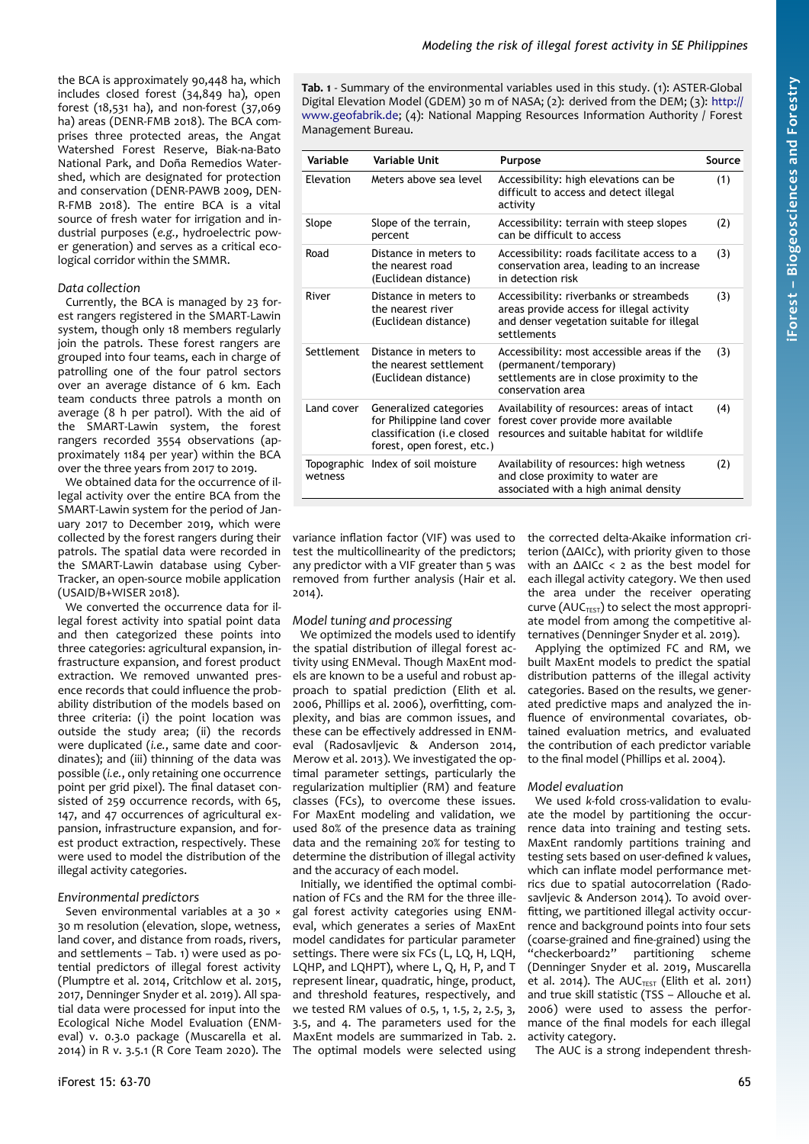the BCA is approximately 90,448 ha, which includes closed forest (34,849 ha), open forest (18,531 ha), and non-forest (37,069 ha) areas (DENR-FMB 2018). The BCA comprises three protected areas, the Angat Watershed Forest Reserve, Biak-na-Bato National Park, and Doña Remedios Watershed, which are designated for protection and conservation (DENR-PAWB 2009, DEN-R-FMB 2018). The entire BCA is a vital source of fresh water for irrigation and industrial purposes (*e.g.*, hydroelectric power generation) and serves as a critical ecological corridor within the SMMR.

#### *Data collection*

Currently, the BCA is managed by 23 forest rangers registered in the SMART-Lawin system, though only 18 members regularly join the patrols. These forest rangers are grouped into four teams, each in charge of patrolling one of the four patrol sectors over an average distance of 6 km. Each team conducts three patrols a month on average (8 h per patrol). With the aid of the SMART-Lawin system, the forest rangers recorded 3554 observations (approximately 1184 per year) within the BCA over the three years from 2017 to 2019.

We obtained data for the occurrence of illegal activity over the entire BCA from the SMART-Lawin system for the period of January 2017 to December 2019, which were collected by the forest rangers during their patrols. The spatial data were recorded in the SMART-Lawin database using Cyber-Tracker, an open-source mobile application (USAID/B+WISER 2018).

We converted the occurrence data for illegal forest activity into spatial point data and then categorized these points into three categories: agricultural expansion, infrastructure expansion, and forest product extraction. We removed unwanted presence records that could influence the probability distribution of the models based on three criteria: (i) the point location was outside the study area; (ii) the records were duplicated (*i.e.*, same date and coordinates); and (iii) thinning of the data was possible (*i.e.*, only retaining one occurrence point per grid pixel). The final dataset consisted of 259 occurrence records, with 65, 147, and 47 occurrences of agricultural expansion, infrastructure expansion, and forest product extraction, respectively. These were used to model the distribution of the illegal activity categories.

## *Environmental predictors*

Seven environmental variables at a 30  $\times$ 30 m resolution (elevation, slope, wetness, land cover, and distance from roads, rivers, and settlements – [Tab. 1\)](#page-2-0) were used as potential predictors of illegal forest activity (Plumptre et al. 2014, Critchlow et al. 2015, 2017, Denninger Snyder et al. 2019). All spatial data were processed for input into the Ecological Niche Model Evaluation (ENMeval) v. 0.3.0 package (Muscarella et al. 2014) in R v. 3.5.1 (R Core Team 2020). The <span id="page-2-0"></span>**Tab. 1** - Summary of the environmental variables used in this study. (1): ASTER-Global Digital Elevation Model (GDEM) 30 m of NASA; (2): derived from the DEM; (3): [http://](http://www.geofabrik.de/) [www.geofabrik.de](http://www.geofabrik.de/); (4): National Mapping Resources Information Authority / Forest Management Bureau.

| Variable   | Variable Unit                                                                                                   | Purpose                                                                                                                                           | Source |
|------------|-----------------------------------------------------------------------------------------------------------------|---------------------------------------------------------------------------------------------------------------------------------------------------|--------|
| Elevation  | Meters above sea level                                                                                          | Accessibility: high elevations can be<br>difficult to access and detect illegal<br>activity                                                       | (1)    |
| Slope      | Slope of the terrain,<br>percent                                                                                | Accessibility: terrain with steep slopes<br>can be difficult to access                                                                            | (2)    |
| Road       | Distance in meters to<br>the nearest road<br>(Euclidean distance)                                               | Accessibility: roads facilitate access to a<br>conservation area, leading to an increase<br>in detection risk                                     | (3)    |
| River      | Distance in meters to<br>the nearest river<br>(Euclidean distance)                                              | Accessibility: riverbanks or streambeds<br>areas provide access for illegal activity<br>and denser vegetation suitable for illegal<br>settlements | (3)    |
| Settlement | Distance in meters to<br>the nearest settlement<br>(Euclidean distance)                                         | Accessibility: most accessible areas if the<br>(permanent/temporary)<br>settlements are in close proximity to the<br>conservation area            | (3)    |
| Land cover | Generalized categories<br>for Philippine land cover<br>classification (i.e closed<br>forest, open forest, etc.) | Availability of resources: areas of intact<br>forest cover provide more available<br>resources and suitable habitat for wildlife                  | (4)    |
| wetness    | Topographic Index of soil moisture                                                                              | Availability of resources: high wetness<br>and close proximity to water are<br>associated with a high animal density                              | (2)    |

variance inflation factor (VIF) was used to test the multicollinearity of the predictors; any predictor with a VIF greater than 5 was removed from further analysis (Hair et al. 2014).

## *Model tuning and processing*

We optimized the models used to identify the spatial distribution of illegal forest activity using ENMeval. Though MaxEnt models are known to be a useful and robust approach to spatial prediction (Elith et al. 2006, Phillips et al. 2006), overfitting, complexity, and bias are common issues, and these can be effectively addressed in ENMeval (Radosavljevic & Anderson 2014, Merow et al. 2013). We investigated the optimal parameter settings, particularly the regularization multiplier (RM) and feature classes (FCs), to overcome these issues. For MaxEnt modeling and validation, we used 80% of the presence data as training data and the remaining 20% for testing to determine the distribution of illegal activity and the accuracy of each model.

Initially, we identified the optimal combination of FCs and the RM for the three illegal forest activity categories using ENMeval, which generates a series of MaxEnt model candidates for particular parameter settings. There were six FCs (L, LQ, H, LQH, LQHP, and LQHPT), where L, Q, H, P, and T represent linear, quadratic, hinge, product, and threshold features, respectively, and we tested RM values of 0.5, 1, 1.5, 2, 2.5, 3, 3.5, and 4. The parameters used for the MaxEnt models are summarized in [Tab. 2.](#page-3-0) The optimal models were selected using the corrected delta-Akaike information criterion (ΔAICc), with priority given to those with an ΔAICc < 2 as the best model for each illegal activity category. We then used the area under the receiver operating curve ( $AUC_{TEST}$ ) to select the most appropriate model from among the competitive alternatives (Denninger Snyder et al. 2019).

Applying the optimized FC and RM, we built MaxEnt models to predict the spatial distribution patterns of the illegal activity categories. Based on the results, we generated predictive maps and analyzed the influence of environmental covariates, obtained evaluation metrics, and evaluated the contribution of each predictor variable to the final model (Phillips et al. 2004).

# *Model evaluation*

We used *k*-fold cross-validation to evaluate the model by partitioning the occurrence data into training and testing sets. MaxEnt randomly partitions training and testing sets based on user-defined *k* values, which can inflate model performance metrics due to spatial autocorrelation (Radosavljevic & Anderson 2014). To avoid overfitting, we partitioned illegal activity occurrence and background points into four sets (coarse-grained and fine-grained) using the "checkerboard2" partitioning scheme (Denninger Snyder et al. 2019, Muscarella et al. 2014). The  $AUC_{TEST}$  (Elith et al. 2011) and true skill statistic (TSS – Allouche et al. 2006) were used to assess the performance of the final models for each illegal activity category.

The AUC is a strong independent thresh-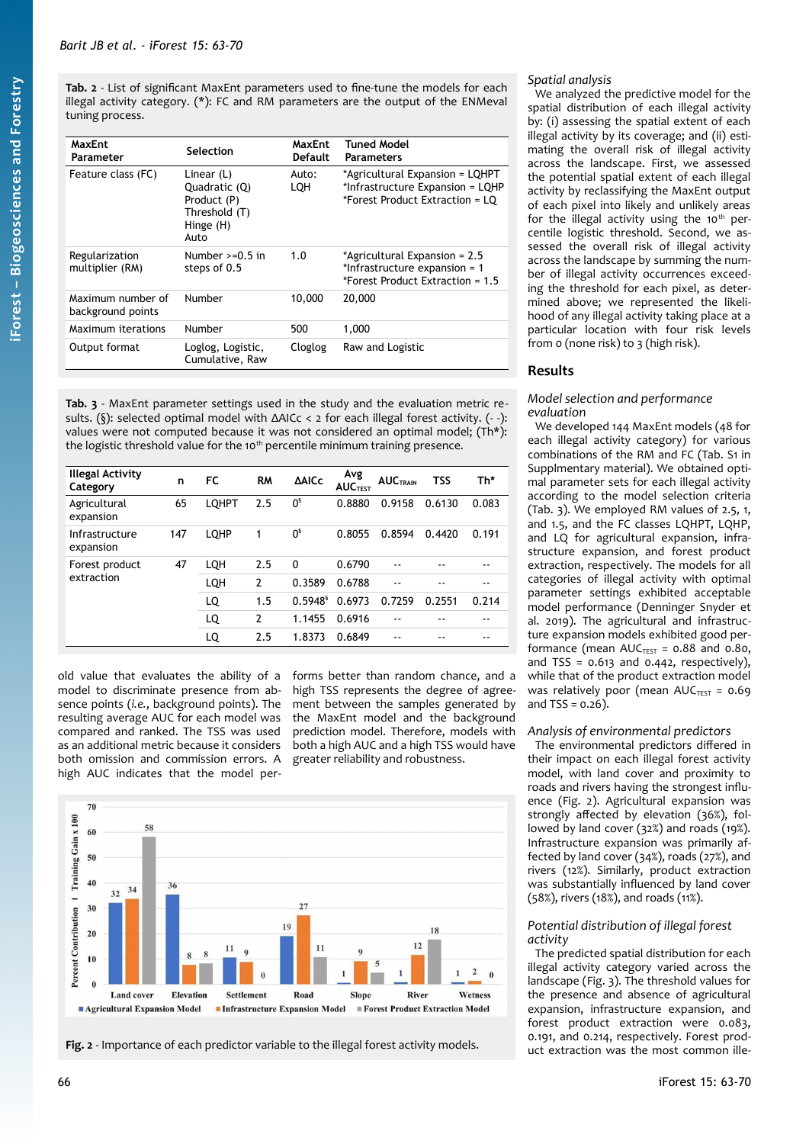<span id="page-3-0"></span>**Tab. 2** - List of significant MaxEnt parameters used to fine-tune the models for each illegal activity category. (\*): FC and RM parameters are the output of the ENMeval tuning process.

| MaxEnt<br>Parameter                    | Selection                                                                          | MaxEnt<br><b>Default</b> | Tuned Model<br><b>Parameters</b>                                                                       |
|----------------------------------------|------------------------------------------------------------------------------------|--------------------------|--------------------------------------------------------------------------------------------------------|
| Feature class (FC)                     | Linear $(L)$<br>Quadratic (Q)<br>Product (P)<br>Threshold (T)<br>Hinge (H)<br>Auto | Auto:<br>LQH             | *Agricultural Expansion = LQHPT<br>*Infrastructure Expansion = LQHP<br>*Forest Product Extraction = LO |
| Regularization<br>multiplier (RM)      | Number $>=0.5$ in<br>steps of 0.5                                                  | 1.0                      | *Agricultural Expansion = 2.5<br>*Infrastructure expansion = 1<br>*Forest Product Extraction = 1.5     |
| Maximum number of<br>background points | Number                                                                             | 10,000                   | 20,000                                                                                                 |
| Maximum iterations                     | Number                                                                             | 500                      | 1,000                                                                                                  |
| Output format                          | Loglog, Logistic,<br>Cumulative, Raw                                               | Cloglog                  | Raw and Logistic                                                                                       |

<span id="page-3-2"></span>**Tab. 3** - MaxEnt parameter settings used in the study and the evaluation metric results. (§): selected optimal model with ΔAICc < 2 for each illegal forest activity. (- -): values were not computed because it was not considered an optimal model; (Th\*): the logistic threshold value for the 10<sup>th</sup> percentile minimum training presence.

| <b>Illegal Activity</b><br>Category | n   | <b>FC</b>    | <b>RM</b>      | <b>AAICc</b>           | Avg<br><b>AUCTEST</b> | <b>AUCTRAIN</b> | <b>TSS</b> | Th*   |
|-------------------------------------|-----|--------------|----------------|------------------------|-----------------------|-----------------|------------|-------|
| Agricultural<br>expansion           | 65  | <b>LQHPT</b> | 2.5            | 0 <sup>s</sup>         | 0.8880                | 0.9158          | 0.6130     | 0.083 |
| Infrastructure<br>expansion         | 147 | LQHP         | 1              | 0 <sup>s</sup>         | 0.8055                | 0.8594          | 0.4420     | 0.191 |
| Forest product                      | 47  | LQH          | 2.5            | 0                      | 0.6790                | --              |            |       |
| extraction                          |     | LQH          | $\overline{2}$ | 0.3589                 | 0.6788                | --              |            |       |
|                                     |     | LQ           | 1.5            | $0.5948$ <sup>\$</sup> | 0.6973                | 0.7259          | 0.2551     | 0.214 |
|                                     |     | LQ           | 2              | 1.1455                 | 0.6916                | --              |            |       |
|                                     |     | LQ           | 2.5            | 1.8373                 | 0.6849                | --              |            |       |

old value that evaluates the ability of a model to discriminate presence from absence points (*i.e.*, background points). The resulting average AUC for each model was compared and ranked. The TSS was used as an additional metric because it considers both omission and commission errors. A high AUC indicates that the model per-

forms better than random chance, and a high TSS represents the degree of agreement between the samples generated by the MaxEnt model and the background prediction model. Therefore, models with both a high AUC and a high TSS would have greater reliability and robustness.



<span id="page-3-1"></span>Fig. 2 - Importance of each predictor variable to the illegal forest activity models.

# *Spatial analysis*

We analyzed the predictive model for the spatial distribution of each illegal activity by: (i) assessing the spatial extent of each illegal activity by its coverage; and (ii) estimating the overall risk of illegal activity across the landscape. First, we assessed the potential spatial extent of each illegal activity by reclassifying the MaxEnt output of each pixel into likely and unlikely areas for the illegal activity using the  $10<sup>th</sup>$  percentile logistic threshold. Second, we assessed the overall risk of illegal activity across the landscape by summing the number of illegal activity occurrences exceeding the threshold for each pixel, as determined above; we represented the likelihood of any illegal activity taking place at a particular location with four risk levels from 0 (none risk) to 3 (high risk).

# **Results**

#### *Model selection and performance evaluation*

We developed 144 MaxEnt models (48 for each illegal activity category) for various combinations of the RM and FC (Tab. S1 in Supplmentary material). We obtained optimal parameter sets for each illegal activity according to the model selection criteria [\(Tab. 3\)](#page-3-2). We employed RM values of 2.5, 1, and 1.5, and the FC classes LQHPT, LQHP, and LQ for agricultural expansion, infrastructure expansion, and forest product extraction, respectively. The models for all categories of illegal activity with optimal parameter settings exhibited acceptable model performance (Denninger Snyder et al. 2019). The agricultural and infrastructure expansion models exhibited good performance (mean  $AUC_{TFST} = 0.88$  and 0.80, and TSS =  $0.613$  and  $0.442$ , respectively), while that of the product extraction model was relatively poor (mean  $AUC_{TFT} = 0.69$ and  $TSS = 0.26$ ).

# *Analysis of environmental predictors*

The environmental predictors differed in their impact on each illegal forest activity model, with land cover and proximity to roads and rivers having the strongest influence [\(Fig. 2](#page-3-1)). Agricultural expansion was strongly affected by elevation (36%), followed by land cover  $(32%)$  and roads  $(19%)$ . Infrastructure expansion was primarily affected by land cover (34%), roads (27%), and rivers (12%). Similarly, product extraction was substantially influenced by land cover (58%), rivers (18%), and roads (11%).

## *Potential distribution of illegal forest activity*

The predicted spatial distribution for each illegal activity category varied across the landscape ([Fig. 3](#page-4-0)). The threshold values for the presence and absence of agricultural expansion, infrastructure expansion, and forest product extraction were 0.083, 0.191, and 0.214, respectively. Forest product extraction was the most common ille-

**iForest –**

**Bio geoscie**

**nces a nd Forestry**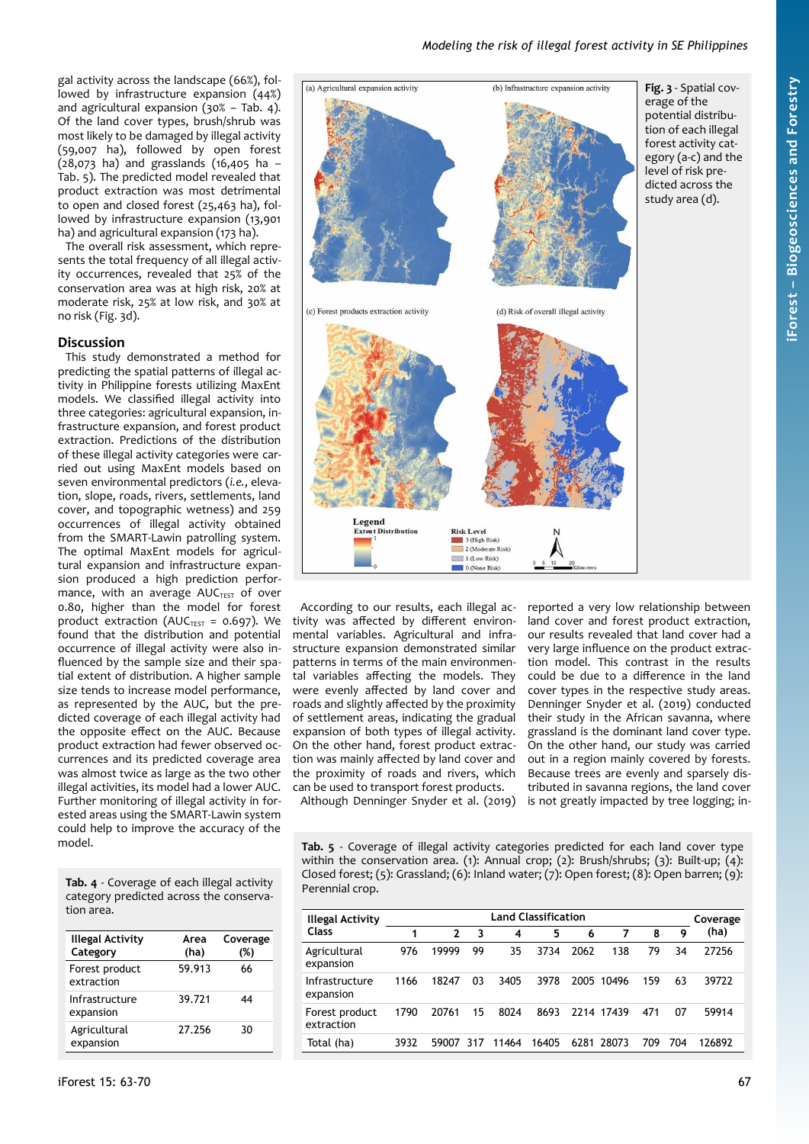gal activity across the landscape (66%), followed by infrastructure expansion (44%) and agricultural expansion (30% – [Tab. 4](#page-4-2)). Of the land cover types, brush/shrub was most likely to be damaged by illegal activity (59,007 ha), followed by open forest (28,073 ha) and grasslands (16,405 ha – [Tab. 5](#page-4-1)). The predicted model revealed that product extraction was most detrimental to open and closed forest (25,463 ha), followed by infrastructure expansion (13,901 ha) and agricultural expansion (173 ha).

The overall risk assessment, which represents the total frequency of all illegal activity occurrences, revealed that 25% of the conservation area was at high risk, 20% at moderate risk, 25% at low risk, and 30% at no risk ([Fig. 3d](#page-4-0)).

# **Discussion**

This study demonstrated a method for predicting the spatial patterns of illegal activity in Philippine forests utilizing MaxEnt models. We classified illegal activity into three categories: agricultural expansion, infrastructure expansion, and forest product extraction. Predictions of the distribution of these illegal activity categories were carried out using MaxEnt models based on seven environmental predictors (*i.e.*, elevation, slope, roads, rivers, settlements, land cover, and topographic wetness) and 259 occurrences of illegal activity obtained from the SMART-Lawin patrolling system. The optimal MaxEnt models for agricultural expansion and infrastructure expansion produced a high prediction performance, with an average  $AUC_{TEST}$  of over 0.80, higher than the model for forest product extraction (AUC<sub>TEST</sub> =  $0.697$ ). We found that the distribution and potential occurrence of illegal activity were also influenced by the sample size and their spatial extent of distribution. A higher sample size tends to increase model performance, as represented by the AUC, but the predicted coverage of each illegal activity had the opposite effect on the AUC. Because product extraction had fewer observed occurrences and its predicted coverage area was almost twice as large as the two other illegal activities, its model had a lower AUC. Further monitoring of illegal activity in forested areas using the SMART-Lawin system could help to improve the accuracy of the model.

<span id="page-4-2"></span>**Tab. 4** - Coverage of each illegal activity category predicted across the conservation area.

| <b>Illegal Activity</b><br>Category | Area<br>(ha) | Coverage<br>(%) |
|-------------------------------------|--------------|-----------------|
| Forest product<br>extraction        | 59.913       | 66              |
| Infrastructure<br>expansion         | 39.721       | 44              |
| Agricultural<br>expansion           | 27.256       | 30              |

<span id="page-4-0"></span>

According to our results, each illegal activity was affected by different environmental variables. Agricultural and infrastructure expansion demonstrated similar patterns in terms of the main environmental variables affecting the models. They were evenly affected by land cover and roads and slightly affected by the proximity of settlement areas, indicating the gradual expansion of both types of illegal activity. On the other hand, forest product extraction was mainly affected by land cover and the proximity of roads and rivers, which can be used to transport forest products.

reported a very low relationship between land cover and forest product extraction, our results revealed that land cover had a very large influence on the product extraction model. This contrast in the results could be due to a difference in the land cover types in the respective study areas. Denninger Snyder et al. (2019) conducted their study in the African savanna, where grassland is the dominant land cover type. On the other hand, our study was carried out in a region mainly covered by forests. Because trees are evenly and sparsely distributed in savanna regions, the land cover is not greatly impacted by tree logging; in-

Although Denninger Snyder et al. (2019)

<span id="page-4-1"></span>**Tab. 5** - Coverage of illegal activity categories predicted for each land cover type within the conservation area. (1): Annual crop; (2): Brush/shrubs; (3): Built-up; (4): Closed forest; (5): Grassland; (6): Inland water; (7): Open forest; (8): Open barren; (9): Perennial crop.

| <b>Illegal Activity</b>      | <b>Land Classification</b> |              |     |       |       |      |            |     | Coverage |        |
|------------------------------|----------------------------|--------------|-----|-------|-------|------|------------|-----|----------|--------|
| <b>Class</b>                 |                            | $\mathbf{2}$ | 3   | 4     | 5     | 6    | 7          | 8   | 9        | (ha)   |
| Agricultural<br>expansion    | 976                        | 19999        | 99  | 35    | 3734  | 2062 | 138        | 79  | 34       | 27256  |
| Infrastructure<br>expansion  | 1166                       | 18247        | 03  | 3405  | 3978  | 2005 | 10496      | 159 | 63       | 39722  |
| Forest product<br>extraction | 1790                       | 20761        | 15  | 8024  | 8693  |      | 2214 17439 | 471 | 07       | 59914  |
| Total (ha)                   | 3932                       | 59007        | 317 | 11464 | 16405 |      | 6281 28073 | 709 | 704      | 126892 |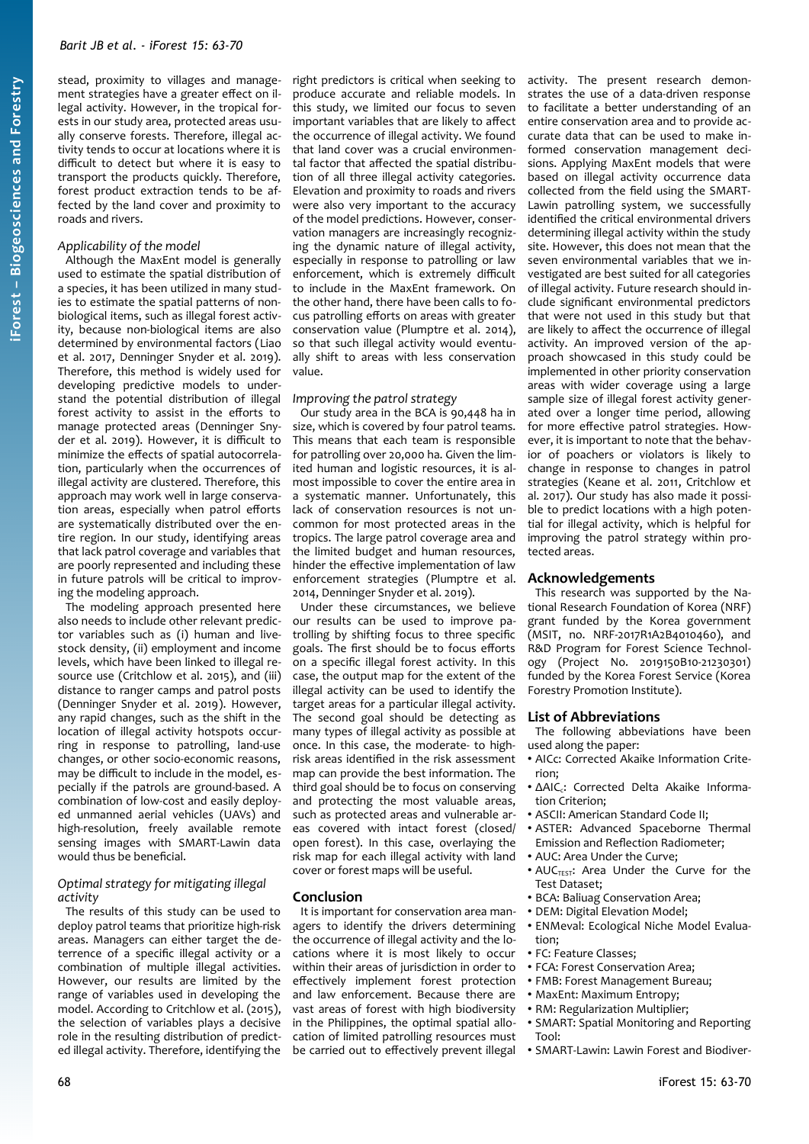stead, proximity to villages and management strategies have a greater effect on illegal activity. However, in the tropical forests in our study area, protected areas usually conserve forests. Therefore, illegal activity tends to occur at locations where it is difficult to detect but where it is easy to transport the products quickly. Therefore, forest product extraction tends to be affected by the land cover and proximity to roads and rivers.

#### *Applicability of the model*

Although the MaxEnt model is generally used to estimate the spatial distribution of a species, it has been utilized in many studies to estimate the spatial patterns of nonbiological items, such as illegal forest activity, because non-biological items are also determined by environmental factors (Liao et al. 2017, Denninger Snyder et al. 2019). Therefore, this method is widely used for developing predictive models to understand the potential distribution of illegal forest activity to assist in the efforts to manage protected areas (Denninger Snyder et al. 2019). However, it is difficult to minimize the effects of spatial autocorrelation, particularly when the occurrences of illegal activity are clustered. Therefore, this approach may work well in large conservation areas, especially when patrol efforts are systematically distributed over the entire region. In our study, identifying areas that lack patrol coverage and variables that are poorly represented and including these in future patrols will be critical to improving the modeling approach.

The modeling approach presented here also needs to include other relevant predictor variables such as (i) human and livestock density, (ii) employment and income levels, which have been linked to illegal resource use (Critchlow et al. 2015), and (iii) distance to ranger camps and patrol posts (Denninger Snyder et al. 2019). However, any rapid changes, such as the shift in the location of illegal activity hotspots occurring in response to patrolling, land-use changes, or other socio-economic reasons, may be difficult to include in the model, especially if the patrols are ground-based. A combination of low-cost and easily deployed unmanned aerial vehicles (UAVs) and high-resolution, freely available remote sensing images with SMART-Lawin data would thus be beneficial.

#### *Optimal strategy for mitigating illegal activity*

The results of this study can be used to deploy patrol teams that prioritize high-risk areas. Managers can either target the deterrence of a specific illegal activity or a combination of multiple illegal activities. However, our results are limited by the range of variables used in developing the model. According to Critchlow et al. (2015), the selection of variables plays a decisive role in the resulting distribution of predicted illegal activity. Therefore, identifying the right predictors is critical when seeking to produce accurate and reliable models. In this study, we limited our focus to seven important variables that are likely to affect the occurrence of illegal activity. We found that land cover was a crucial environmental factor that affected the spatial distribution of all three illegal activity categories. Elevation and proximity to roads and rivers were also very important to the accuracy of the model predictions. However, conservation managers are increasingly recognizing the dynamic nature of illegal activity, especially in response to patrolling or law enforcement, which is extremely difficult to include in the MaxEnt framework. On the other hand, there have been calls to focus patrolling efforts on areas with greater conservation value (Plumptre et al. 2014), so that such illegal activity would eventually shift to areas with less conservation value.

## *Improving the patrol strategy*

Our study area in the BCA is 90,448 ha in size, which is covered by four patrol teams. This means that each team is responsible for patrolling over 20,000 ha. Given the limited human and logistic resources, it is almost impossible to cover the entire area in a systematic manner. Unfortunately, this lack of conservation resources is not uncommon for most protected areas in the tropics. The large patrol coverage area and the limited budget and human resources, hinder the effective implementation of law enforcement strategies (Plumptre et al. 2014, Denninger Snyder et al. 2019).

Under these circumstances, we believe our results can be used to improve patrolling by shifting focus to three specific goals. The first should be to focus efforts on a specific illegal forest activity. In this case, the output map for the extent of the illegal activity can be used to identify the target areas for a particular illegal activity. The second goal should be detecting as many types of illegal activity as possible at once. In this case, the moderate- to highrisk areas identified in the risk assessment map can provide the best information. The third goal should be to focus on conserving and protecting the most valuable areas, such as protected areas and vulnerable areas covered with intact forest (closed/ open forest). In this case, overlaying the risk map for each illegal activity with land cover or forest maps will be useful.

## **Conclusion**

It is important for conservation area managers to identify the drivers determining the occurrence of illegal activity and the locations where it is most likely to occur within their areas of jurisdiction in order to effectively implement forest protection and law enforcement. Because there are vast areas of forest with high biodiversity in the Philippines, the optimal spatial allocation of limited patrolling resources must be carried out to effectively prevent illegal activity. The present research demonstrates the use of a data-driven response to facilitate a better understanding of an entire conservation area and to provide accurate data that can be used to make informed conservation management decisions. Applying MaxEnt models that were based on illegal activity occurrence data collected from the field using the SMART-Lawin patrolling system, we successfully identified the critical environmental drivers determining illegal activity within the study site. However, this does not mean that the seven environmental variables that we investigated are best suited for all categories of illegal activity. Future research should include significant environmental predictors that were not used in this study but that are likely to affect the occurrence of illegal activity. An improved version of the approach showcased in this study could be .<br>implemented in other priority conservation areas with wider coverage using a large sample size of illegal forest activity generated over a longer time period, allowing for more effective patrol strategies. However, it is important to note that the behavior of poachers or violators is likely to change in response to changes in patrol strategies (Keane et al. 2011, Critchlow et al. 2017). Our study has also made it possible to predict locations with a high potential for illegal activity, which is helpful for improving the patrol strategy within protected areas.

#### **Acknowledgements**

This research was supported by the National Research Foundation of Korea (NRF) grant funded by the Korea government (MSIT, no. NRF-2017R1A2B4010460), and R&D Program for Forest Science Technology (Project No. 2019150B10-21230301) funded by the Korea Forest Service (Korea Forestry Promotion Institute).

#### **List of Abbreviations**

The following abbeviations have been used along the paper:

- AICc: Corrected Akaike Information Criterion;
- ΔAIC<sub>c</sub>: Corrected Delta Akaike Information Criterion;
- ASCII: American Standard Code II;
- ASTER: Advanced Spaceborne Thermal Emission and Reflection Radiometer;
- AUC: Area Under the Curve;
- AUC<sub>TEST</sub>: Area Under the Curve for the Test Dataset;
- BCA: Baliuag Conservation Area;
- DEM: Digital Elevation Model;
- ENMeval: Ecological Niche Model Evaluation;
- FC: Feature Classes;
- FCA: Forest Conservation Area;
- FMB: Forest Management Bureau;
- MaxEnt: Maximum Entropy;
- RM: Regularization Multiplier;
- SMART: Spatial Monitoring and Reporting Tool:
- SMART-Lawin: Lawin Forest and Biodiver-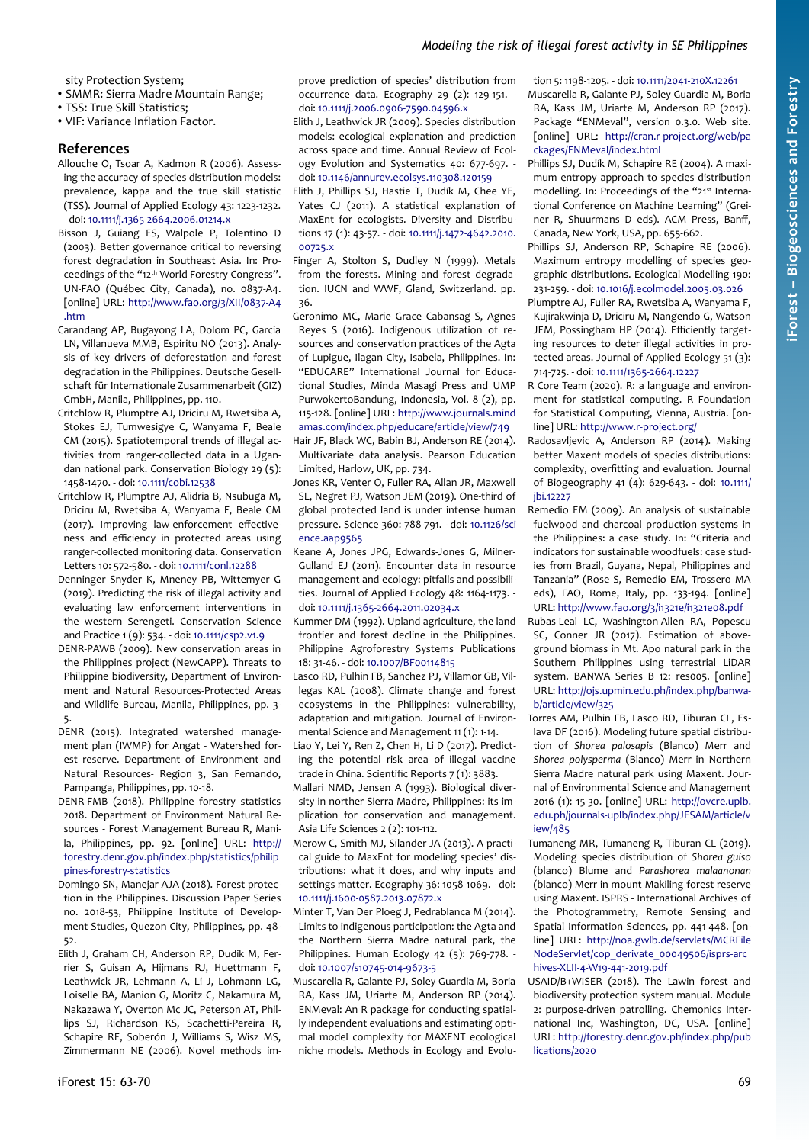## *Modeling the risk of illegal forest activity in SE Philippines*

sity Protection System;

- SMMR: Sierra Madre Mountain Range;
- TSS: True Skill Statistics;
- VIF: Variance Inflation Factor.

#### **References**

- Allouche O, Tsoar A, Kadmon R (2006). Assessing the accuracy of species distribution models: prevalence, kappa and the true skill statistic (TSS). Journal of Applied Ecology 43: 1223-1232. - doi: [10.1111/j.1365-2664.2006.01214.x](https://doi.org/10.1111/j.1365-2664.2006.01214.x)
- Bisson J, Guiang ES, Walpole P, Tolentino D (2003). Better governance critical to reversing forest degradation in Southeast Asia. In: Proceedings of the "12th World Forestry Congress". UN-FAO (Québec City, Canada), no. 0837-A4. [online] URL: [http://www.fao.org/3/XII/0837-A4](http://www.fao.org/3/XII/0837-A4.htm) [.htm](http://www.fao.org/3/XII/0837-A4.htm)
- Carandang AP, Bugayong LA, Dolom PC, Garcia LN, Villanueva MMB, Espiritu NO (2013). Analysis of key drivers of deforestation and forest degradation in the Philippines. Deutsche Gesellschaft für Internationale Zusammenarbeit (GIZ) GmbH, Manila, Philippines, pp. 110.
- Critchlow R, Plumptre AJ, Driciru M, Rwetsiba A, Stokes EJ, Tumwesigye C, Wanyama F, Beale CM (2015). Spatiotemporal trends of illegal activities from ranger-collected data in a Ugandan national park. Conservation Biology 29 (5): 1458-1470. - doi: [10.1111/cobi.12538](https://doi.org/10.1111/cobi.12538)
- Critchlow R, Plumptre AJ, Alidria B, Nsubuga M, Driciru M, Rwetsiba A, Wanyama F, Beale CM (2017). Improving law-enforcement effectiveness and efficiency in protected areas using ranger-collected monitoring data. Conservation Letters 10: 572-580. - doi: [10.1111/conl.12288](https://doi.org/10.1111/conl.12288)
- Denninger Snyder K, Mneney PB, Wittemyer G (2019). Predicting the risk of illegal activity and evaluating law enforcement interventions in the western Serengeti. Conservation Science and Practice 1 (9): 534. - doi: [10.1111/csp2.v1.9](https://doi.org/10.1111/csp2.v1.9)
- DENR-PAWB (2009). New conservation areas in the Philippines project (NewCAPP). Threats to Philippine biodiversity, Department of Environment and Natural Resources-Protected Areas and Wildlife Bureau, Manila, Philippines, pp. 3- 5.
- DENR (2015). Integrated watershed management plan (IWMP) for Angat - Watershed forest reserve. Department of Environment and Natural Resources- Region 3, San Fernando, Pampanga, Philippines, pp. 10-18.
- DENR-FMB (2018). Philippine forestry statistics 2018. Department of Environment Natural Resources - Forest Management Bureau R, Manila, Philippines, pp. 92. [online] URL: [http://](http://forestry.denr.gov.ph/index.php/statistics/philippines-forestry-statistics) [forestry.denr.gov.ph/index.php/statistics/philip](http://forestry.denr.gov.ph/index.php/statistics/philippines-forestry-statistics) [pines-forestry-statistics](http://forestry.denr.gov.ph/index.php/statistics/philippines-forestry-statistics)
- Domingo SN, Manejar AJA (2018). Forest protection in the Philippines. Discussion Paper Series no. 2018-53, Philippine Institute of Development Studies, Quezon City, Philippines, pp. 48- 52.
- Elith J, Graham CH, Anderson RP, Dudik M, Ferrier S, Guisan A, Hijmans RJ, Huettmann F, Leathwick JR, Lehmann A, Li J, Lohmann LG, Loiselle BA, Manion G, Moritz C, Nakamura M, Nakazawa Y, Overton Mc JC, Peterson AT, Phillips SJ, Richardson KS, Scachetti-Pereira R, Schapire RE, Soberón J, Williams S, Wisz MS, Zimmermann NE (2006). Novel methods im-

prove prediction of species' distribution from occurrence data. Ecography 29 (2): 129-151. doi: [10.1111/j.2006.0906-7590.04596.x](https://doi.org/10.1111/j.2006.0906-7590.04596.x)

- Elith J, Leathwick JR (2009). Species distribution models: ecological explanation and prediction across space and time. Annual Review of Ecology Evolution and Systematics 40: 677-697. doi: [10.1146/annurev.ecolsys.110308.120159](https://doi.org/10.1146/annurev.ecolsys.110308.120159)
- Elith J, Phillips SJ, Hastie T, Dudík M, Chee YE, Yates CJ (2011). A statistical explanation of MaxEnt for ecologists. Diversity and Distributions 17 (1): 43-57. - doi: [10.1111/j.1472-4642.2010.](https://doi.org/10.1111/j.1472-4642.2010.00725.x) [00725.x](https://doi.org/10.1111/j.1472-4642.2010.00725.x)
- Finger A, Stolton S, Dudley N (1999). Metals from the forests. Mining and forest degradation. IUCN and WWF, Gland, Switzerland. pp. 36.
- Geronimo MC, Marie Grace Cabansag S, Agnes Reyes S (2016). Indigenous utilization of resources and conservation practices of the Agta of Lupigue, Ilagan City, Isabela, Philippines. In: "EDUCARE" International Journal for Educational Studies, Minda Masagi Press and UMP PurwokertoBandung, Indonesia, Vol. 8 (2), pp. 115-128. [online] URL: [http://www.journals.mind](http://www.journals.mindamas.com/index.php/educare/article/view/749) [amas.com/index.php/educare/article/view/749](http://www.journals.mindamas.com/index.php/educare/article/view/749)
- Hair JF, Black WC, Babin BJ, Anderson RE (2014). Multivariate data analysis. Pearson Education Limited, Harlow, UK, pp. 734.
- Jones KR, Venter O, Fuller RA, Allan JR, Maxwell SL, Negret PJ, Watson JEM (2019). One-third of global protected land is under intense human pressure. Science 360: 788-791. - doi: [10.1126/sci](https://doi.org/10.1126/science.aap9565) [ence.aap9565](https://doi.org/10.1126/science.aap9565)
- Keane A, Jones JPG, Edwards-Jones G, Milner-Gulland EJ (2011). Encounter data in resource management and ecology: pitfalls and possibilities. Journal of Applied Ecology 48: 1164-1173. doi: [10.1111/j.1365-2664.2011.02034.x](https://doi.org/10.1111/j.1365-2664.2011.02034.x)
- Kummer DM (1992). Upland agriculture, the land frontier and forest decline in the Philippines. Philippine Agroforestry Systems Publications 18: 31-46. - doi: [10.1007/BF00114815](https://doi.org/10.1007/BF00114815)
- Lasco RD, Pulhin FB, Sanchez PJ, Villamor GB, Villegas KAL (2008). Climate change and forest ecosystems in the Philippines: vulnerability, adaptation and mitigation. Journal of Environmental Science and Management 11 (1): 1-14.
- Liao Y, Lei Y, Ren Z, Chen H, Li D (2017). Predicting the potential risk area of illegal vaccine trade in China. Scientific Reports 7 (1): 3883.
- Mallari NMD, Jensen A (1993). Biological diversity in norther Sierra Madre, Philippines: its implication for conservation and management. Asia Life Sciences 2 (2): 101-112.
- Merow C, Smith MJ, Silander JA (2013). A practical guide to MaxEnt for modeling species' distributions: what it does, and why inputs and settings matter. Ecography 36: 1058-1069. - doi: [10.1111/j.1600-0587.2013.07872.x](https://doi.org/10.1111/j.1600-0587.2013.07872.x)
- Minter T, Van Der Ploeg J, Pedrablanca M (2014). Limits to indigenous participation: the Agta and the Northern Sierra Madre natural park, the Philippines. Human Ecology 42 (5): 769-778. doi: [10.1007/s10745-014-9673-5](https://doi.org/10.1007/s10745-014-9673-5)
- Muscarella R, Galante PJ, Soley-Guardia M, Boria RA, Kass JM, Uriarte M, Anderson RP (2014). ENMeval: An R package for conducting spatially independent evaluations and estimating optimal model complexity for MAXENT ecological niche models. Methods in Ecology and Evolu-

tion 5: 1198-1205. - doi: [10.1111/2041-210X.12261](https://doi.org/10.1111/2041-210X.12261)

- Muscarella R, Galante PJ, Soley-Guardia M, Boria RA, Kass JM, Uriarte M, Anderson RP (2017). Package "ENMeval", version 0.3.0. Web site. [online] URL: [http://cran.r-project.org/web/pa](http://cran.r-project.org/web/packages/ENMeval/index.html) [ckages/ENMeval/index.html](http://cran.r-project.org/web/packages/ENMeval/index.html)
- Phillips SJ, Dudík M, Schapire RE (2004). A maximum entropy approach to species distribution modelling. In: Proceedings of the "21st International Conference on Machine Learning" (Greiner R, Shuurmans D eds). ACM Press, Banff, Canada, New York, USA, pp. 655-662.
- Phillips SJ, Anderson RP, Schapire RE (2006). Maximum entropy modelling of species geographic distributions. Ecological Modelling 190: 231-259. - doi: [10.1016/j.ecolmodel.2005.03.026](https://doi.org/10.1016/j.ecolmodel.2005.03.026)
- Plumptre AJ, Fuller RA, Rwetsiba A, Wanyama F, Kujirakwinja D, Driciru M, Nangendo G, Watson JEM, Possingham HP (2014). Efficiently targeting resources to deter illegal activities in protected areas. Journal of Applied Ecology 51 (3): 714-725. - doi: [10.1111/1365-2664.12227](https://doi.org/10.1111/1365-2664.12227)
- R Core Team (2020). R: a language and environment for statistical computing. R Foundation for Statistical Computing, Vienna, Austria. [online] URL:<http://www.r-project.org/>
- Radosavljevic A, Anderson RP (2014). Making better Maxent models of species distributions: complexity, overfitting and evaluation. Journal of Biogeography 41 (4): 629-643. - doi: [10.1111/](https://doi.org/10.1111/jbi.12227) [jbi.12227](https://doi.org/10.1111/jbi.12227)
- Remedio EM (2009). An analysis of sustainable fuelwood and charcoal production systems in the Philippines: a case study. In: "Criteria and indicators for sustainable woodfuels: case studies from Brazil, Guyana, Nepal, Philippines and Tanzania" (Rose S, Remedio EM, Trossero MA eds), FAO, Rome, Italy, pp. 133-194. [online] URL:<http://www.fao.org/3/i1321e/i1321e08.pdf>
- Rubas-Leal LC, Washington-Allen RA, Popescu SC, Conner JR (2017). Estimation of aboveground biomass in Mt. Apo natural park in the Southern Philippines using terrestrial LiDAR system. BANWA Series B 12: res005. [online] URL: [http://ojs.upmin.edu.ph/index.php/banwa](http://ojs.upmin.edu.ph/index.php/banwa-b/article/view/325)[b/article/view/325](http://ojs.upmin.edu.ph/index.php/banwa-b/article/view/325)
- Torres AM, Pulhin FB, Lasco RD, Tiburan CL, Eslava DF (2016). Modeling future spatial distribution of *Shorea palosapis* (Blanco) Merr and *Shorea polysperma* (Blanco) Merr in Northern Sierra Madre natural park using Maxent. Journal of Environmental Science and Management 2016 (1): 15-30. [online] URL: [http://ovcre.uplb.](http://ovcre.uplb.edu.ph/journals-uplb/index.php/JESAM/article/view/485) [edu.ph/journals-uplb/index.php/JESAM/article/v](http://ovcre.uplb.edu.ph/journals-uplb/index.php/JESAM/article/view/485)  $i$ ew/ $ABE$
- Tumaneng MR, Tumaneng R, Tiburan CL (2019). Modeling species distribution of *Shorea guiso* (blanco) Blume and *Parashorea malaanonan* (blanco) Merr in mount Makiling forest reserve using Maxent. ISPRS - International Archives of the Photogrammetry, Remote Sensing and Spatial Information Sciences, pp. 441-448. [online] URL: [http://noa.gwlb.de/servlets/MCRFile](http://noa.gwlb.de/servlets/MCRFileNodeServlet/cop_derivate_00049506/isprs-archives-XLII-4-W19-441-2019.pdf) [NodeServlet/cop\\_derivate\\_00049506/isprs-arc](http://noa.gwlb.de/servlets/MCRFileNodeServlet/cop_derivate_00049506/isprs-archives-XLII-4-W19-441-2019.pdf) [hives-XLII-4-W19-441-2019.pdf](http://noa.gwlb.de/servlets/MCRFileNodeServlet/cop_derivate_00049506/isprs-archives-XLII-4-W19-441-2019.pdf)
- USAID/B+WISER (2018). The Lawin forest and biodiversity protection system manual. Module 2: purpose-driven patrolling. Chemonics International Inc, Washington, DC, USA. [online] URL: [http://forestry.denr.gov.ph/index.php/pub](http://forestry.denr.gov.ph/index.php/publications/2020) [lications/2020](http://forestry.denr.gov.ph/index.php/publications/2020)